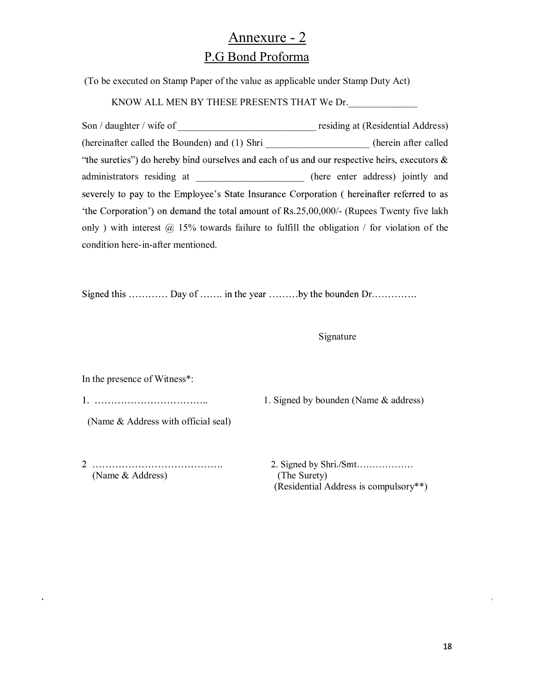## Annexure - 2 P.G Bond Proforma

(To be executed on Stamp Paper of the value as applicable under Stamp Duty Act)

KNOW ALL MEN BY THESE PRESENTS THAT We Dr.

Son / daughter / wife of \_\_\_\_\_\_\_\_\_\_\_\_\_\_\_\_\_\_\_\_\_\_\_\_\_\_\_\_ residing at (Residential Address) (hereinafter called the Bounden) and (1) Shri \_\_\_\_\_\_\_\_\_\_\_\_\_\_\_\_\_\_\_\_\_ (herein after called "the sureties") do hereby bind ourselves and each of us and our respective heirs, executors  $\&$ administrators residing at \_\_\_\_\_\_\_\_\_\_\_\_\_\_\_\_\_\_\_\_\_\_ (here enter address) jointly and severely to pay to the Employee's State Insurance Corporation ( hereinafter referred to as 'the Corporation') on demand the total amount of Rs.25,00,000/- (Rupees Twenty five lakh only) with interest  $\omega$  15% towards failure to fulfill the obligation / for violation of the condition here-in-after mentioned.

Signed this ............ Day of ....... in the year ........by the bounden Dr..............

## Signature

In the presence of Witness\*:

1. Signed by bounden (Name & address)

(Name & Address with official seal)

 (Name & Address) (The Surety) (Residential Address is compulsory\*\*)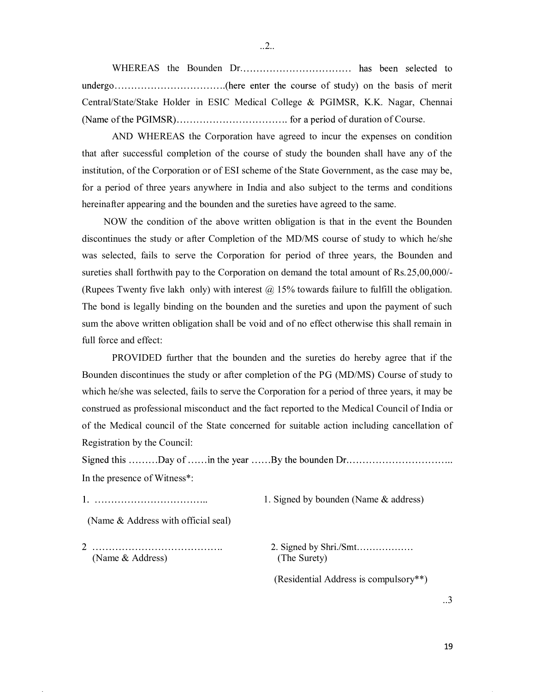WHEREAS the Bounden Dr. udy) on the basis of merit Central/State/Stake Holder in ESIC Medical College & PGIMSR, K.K. Nagar, Chennai duration of Course.

AND WHEREAS the Corporation have agreed to incur the expenses on condition that after successful completion of the course of study the bounden shall have any of the institution, of the Corporation or of ESI scheme of the State Government, as the case may be, for a period of three years anywhere in India and also subject to the terms and conditions hereinafter appearing and the bounden and the sureties have agreed to the same.

NOW the condition of the above written obligation is that in the event the Bounden discontinues the study or after Completion of the MD/MS course of study to which he/she was selected, fails to serve the Corporation for period of three years, the Bounden and sureties shall forthwith pay to the Corporation on demand the total amount of Rs.25,00,000/- (Rupees Twenty five lakh only) with interest  $\omega$  15% towards failure to fulfill the obligation. The bond is legally binding on the bounden and the sureties and upon the payment of such sum the above written obligation shall be void and of no effect otherwise this shall remain in full force and effect:

PROVIDED further that the bounden and the sureties do hereby agree that if the Bounden discontinues the study or after completion of the PG (MD/MS) Course of study to which he/she was selected, fails to serve the Corporation for a period of three years, it may be construed as professional misconduct and the fact reported to the Medical Council of India or of the Medical council of the State concerned for suitable action including cancellation of Registration by the Council:

Signed this .........Day of ......in the year ......By the bounden Dr............................... In the presence of Witness\*:

1. Signed by bounden (Name & address)

(Name & Address with official seal)

(Name & Address) (The Surety)

(Residential Address is compulsory\*\*)

..3